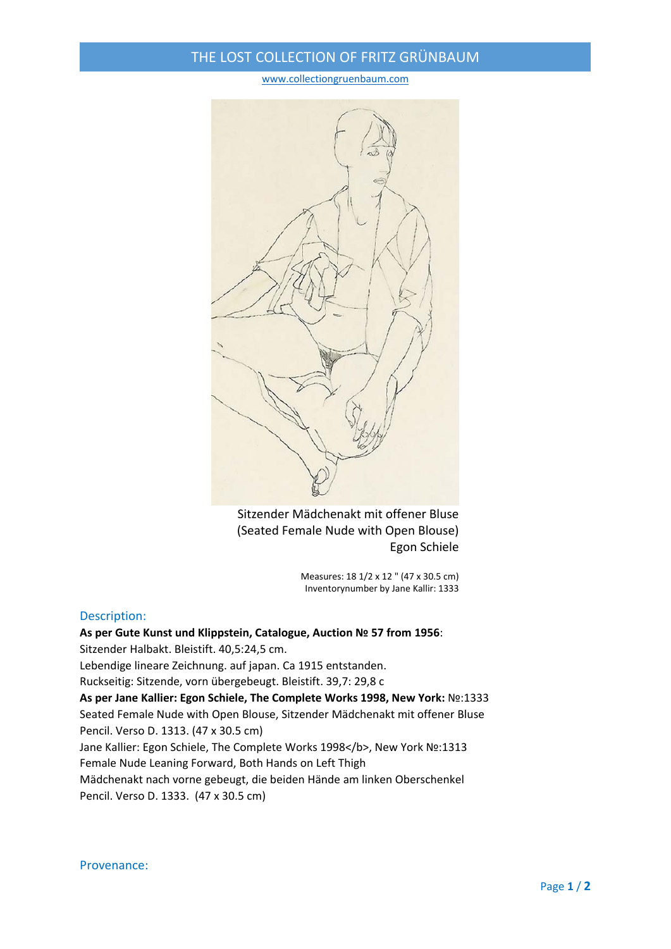## THE LOST COLLECTION OF FRITZ GRÜNBAUM

## www.collectiongruenbaum.com



Sitzender Mädchenakt mit offener Bluse (Seated Female Nude with Open Blouse) Egon Schiele

> Measures: 18 1/2 x 12 " (47 x 30.5 cm) Inventorynumber by Jane Kallir: 1333

## Description:

**As per Gute Kunst und Klippstein, Catalogue, Auction № 57 from 1956**: Sitzender Halbakt. Bleistift. 40,5:24,5 cm. Lebendige lineare Zeichnung. auf japan. Ca 1915 entstanden. Ruckseitig: Sitzende, vorn übergebeugt. Bleistift. 39,7: 29,8 c **As per Jane Kallier: Egon Schiele, The Complete Works 1998, New York:** №:1333 Seated Female Nude with Open Blouse, Sitzender Mädchenakt mit offener Bluse Pencil. Verso D. 1313. (47 x 30.5 cm) Jane Kallier: Egon Schiele, The Complete Works 1998</b>, New York Nº:1313 Female Nude Leaning Forward, Both Hands on Left Thigh Mädchenakt nach vorne gebeugt, die beiden Hände am linken Oberschenkel